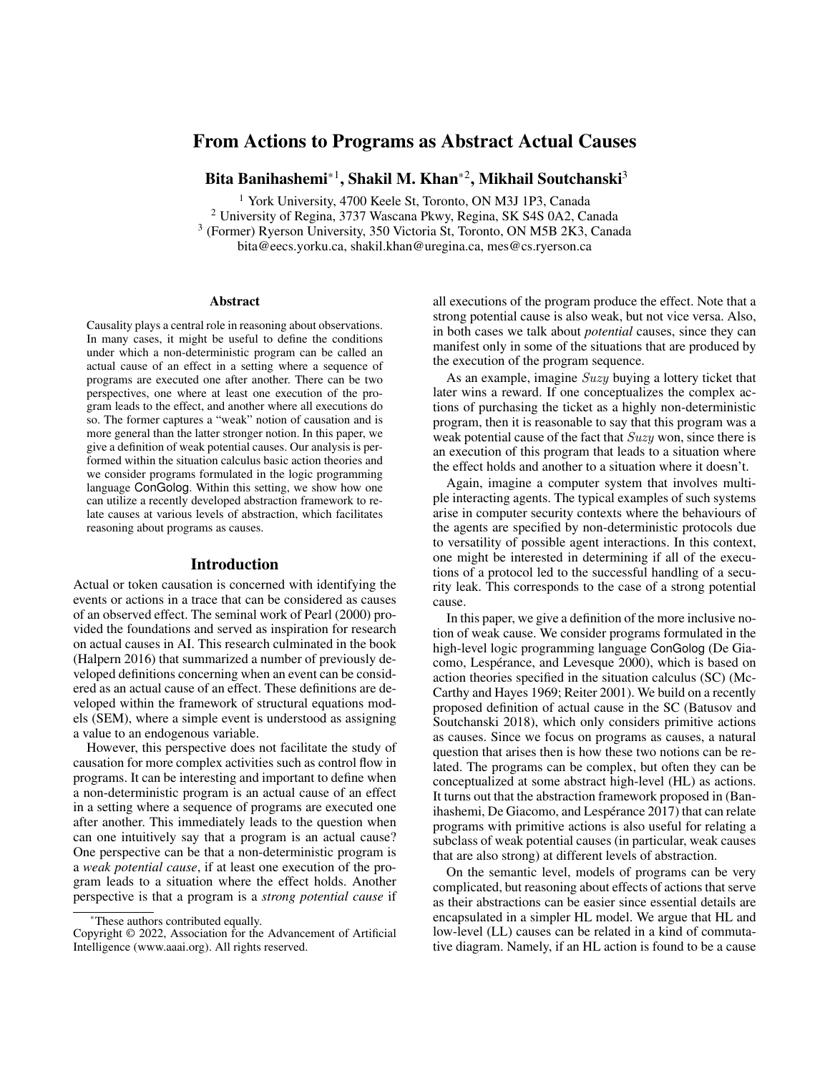# From Actions to Programs as Abstract Actual Causes

Bita Banihashemi\* $^1$ , Shakil M. Khan\* $^2$ , Mikhail Soutchanski $^3$ 

<sup>1</sup> York University, 4700 Keele St, Toronto, ON M3J 1P3, Canada

<sup>2</sup> University of Regina, 3737 Wascana Pkwy, Regina, SK S4S 0A2, Canada 3 (Former) Ryerson University, 350 Victoria St, Toronto, ON M5B 2K3, Canada

bita@eecs.yorku.ca, shakil.khan@uregina.ca, mes@cs.ryerson.ca

#### Abstract

Causality plays a central role in reasoning about observations. In many cases, it might be useful to define the conditions under which a non-deterministic program can be called an actual cause of an effect in a setting where a sequence of programs are executed one after another. There can be two perspectives, one where at least one execution of the program leads to the effect, and another where all executions do so. The former captures a "weak" notion of causation and is more general than the latter stronger notion. In this paper, we give a definition of weak potential causes. Our analysis is performed within the situation calculus basic action theories and we consider programs formulated in the logic programming language ConGolog. Within this setting, we show how one can utilize a recently developed abstraction framework to relate causes at various levels of abstraction, which facilitates reasoning about programs as causes.

#### Introduction

Actual or token causation is concerned with identifying the events or actions in a trace that can be considered as causes of an observed effect. The seminal work of Pearl (2000) provided the foundations and served as inspiration for research on actual causes in AI. This research culminated in the book (Halpern 2016) that summarized a number of previously developed definitions concerning when an event can be considered as an actual cause of an effect. These definitions are developed within the framework of structural equations models (SEM), where a simple event is understood as assigning a value to an endogenous variable.

However, this perspective does not facilitate the study of causation for more complex activities such as control flow in programs. It can be interesting and important to define when a non-deterministic program is an actual cause of an effect in a setting where a sequence of programs are executed one after another. This immediately leads to the question when can one intuitively say that a program is an actual cause? One perspective can be that a non-deterministic program is a *weak potential cause*, if at least one execution of the program leads to a situation where the effect holds. Another perspective is that a program is a *strong potential cause* if all executions of the program produce the effect. Note that a strong potential cause is also weak, but not vice versa. Also, in both cases we talk about *potential* causes, since they can manifest only in some of the situations that are produced by the execution of the program sequence.

As an example, imagine Suzy buying a lottery ticket that later wins a reward. If one conceptualizes the complex actions of purchasing the ticket as a highly non-deterministic program, then it is reasonable to say that this program was a weak potential cause of the fact that Suzy won, since there is an execution of this program that leads to a situation where the effect holds and another to a situation where it doesn't.

Again, imagine a computer system that involves multiple interacting agents. The typical examples of such systems arise in computer security contexts where the behaviours of the agents are specified by non-deterministic protocols due to versatility of possible agent interactions. In this context, one might be interested in determining if all of the executions of a protocol led to the successful handling of a security leak. This corresponds to the case of a strong potential cause.

In this paper, we give a definition of the more inclusive notion of weak cause. We consider programs formulated in the high-level logic programming language ConGolog (De Giacomo, Lespérance, and Levesque 2000), which is based on action theories specified in the situation calculus (SC) (Mc-Carthy and Hayes 1969; Reiter 2001). We build on a recently proposed definition of actual cause in the SC (Batusov and Soutchanski 2018), which only considers primitive actions as causes. Since we focus on programs as causes, a natural question that arises then is how these two notions can be related. The programs can be complex, but often they can be conceptualized at some abstract high-level (HL) as actions. It turns out that the abstraction framework proposed in (Banihashemi, De Giacomo, and Lespérance 2017) that can relate programs with primitive actions is also useful for relating a subclass of weak potential causes (in particular, weak causes that are also strong) at different levels of abstraction.

On the semantic level, models of programs can be very complicated, but reasoning about effects of actions that serve as their abstractions can be easier since essential details are encapsulated in a simpler HL model. We argue that HL and low-level (LL) causes can be related in a kind of commutative diagram. Namely, if an HL action is found to be a cause

These authors contributed equally.

Copyright © 2022, Association for the Advancement of Artificial Intelligence (www.aaai.org). All rights reserved.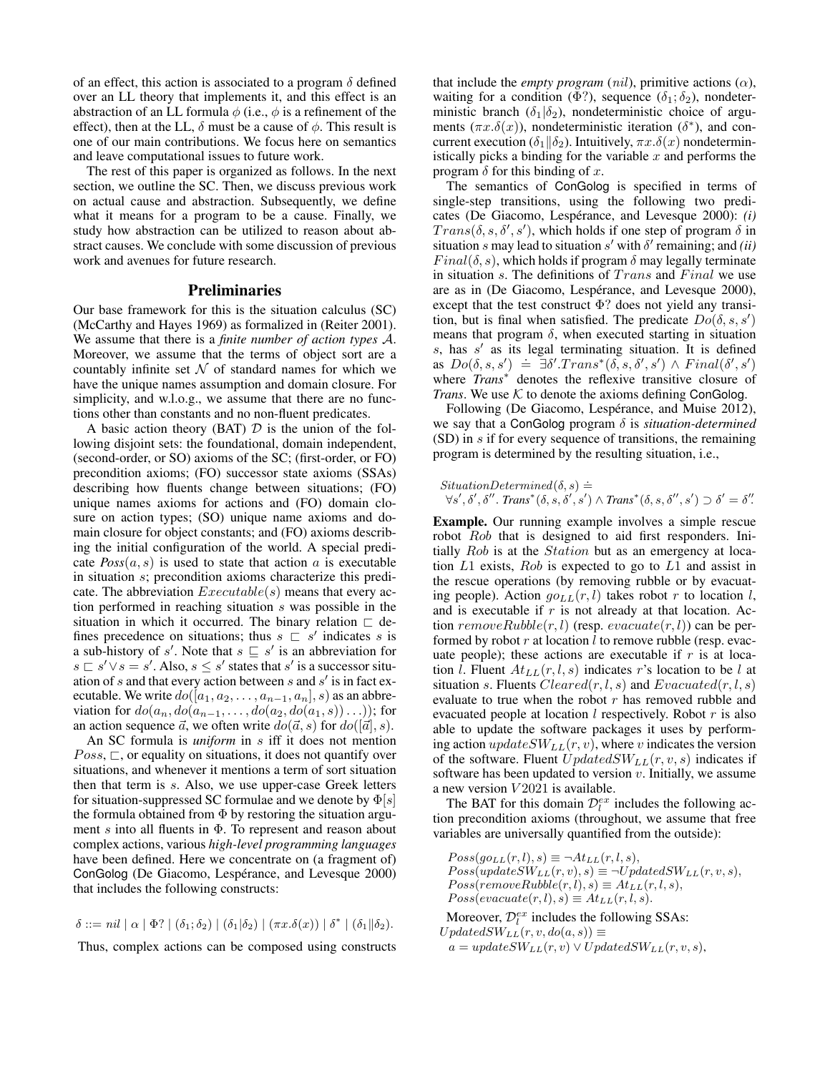of an effect, this action is associated to a program  $\delta$  defined over an LL theory that implements it, and this effect is an abstraction of an LL formula  $\phi$  (i.e.,  $\phi$  is a refinement of the effect), then at the LL,  $\delta$  must be a cause of  $\phi$ . This result is one of our main contributions. We focus here on semantics and leave computational issues to future work.

The rest of this paper is organized as follows. In the next section, we outline the SC. Then, we discuss previous work on actual cause and abstraction. Subsequently, we define what it means for a program to be a cause. Finally, we study how abstraction can be utilized to reason about abstract causes. We conclude with some discussion of previous work and avenues for future research.

## Preliminaries

Our base framework for this is the situation calculus (SC) (McCarthy and Hayes 1969) as formalized in (Reiter 2001). We assume that there is a *finite number of action types* A. Moreover, we assume that the terms of object sort are a countably infinite set  $\mathcal N$  of standard names for which we have the unique names assumption and domain closure. For simplicity, and w.l.o.g., we assume that there are no functions other than constants and no non-fluent predicates.

A basic action theory (BAT)  $D$  is the union of the following disjoint sets: the foundational, domain independent, (second-order, or SO) axioms of the SC; (first-order, or FO) precondition axioms; (FO) successor state axioms (SSAs) describing how fluents change between situations; (FO) unique names axioms for actions and (FO) domain closure on action types; (SO) unique name axioms and domain closure for object constants; and (FO) axioms describing the initial configuration of the world. A special predicate  $Poss(a, s)$  is used to state that action a is executable in situation s; precondition axioms characterize this predicate. The abbreviation  $Executable(s)$  means that every action performed in reaching situation s was possible in the situation in which it occurred. The binary relation  $\Box$  defines precedence on situations; thus  $s \subseteq s'$  indicates s is a sub-history of s'. Note that  $s \sqsubseteq s'$  is an abbreviation for  $s \sqsubset s' \vee s = s'$ . Also,  $s \leq s'$  states that  $s'$  is a successor situation of s and that every action between s and  $s'$  is in fact executable. We write  $do([a_1, a_2, \ldots, a_{n-1}, a_n], s)$  as an abbreviation for  $do(a_n, do(a_{n-1}, \ldots, do(a_2, do(a_1, s)) \ldots))$ ; for an action sequence  $\vec{a}$ , we often write  $do(\vec{a}, s)$  for  $do([\vec{a}], s)$ .

An SC formula is *uniform* in s iff it does not mention  $Poss, \sqsubset$ , or equality on situations, it does not quantify over situations, and whenever it mentions a term of sort situation then that term is s. Also, we use upper-case Greek letters for situation-suppressed SC formulae and we denote by  $\Phi[s]$ the formula obtained from  $\Phi$  by restoring the situation argument s into all fluents in  $\Phi$ . To represent and reason about complex actions, various *high-level programming languages* have been defined. Here we concentrate on (a fragment of) ConGolog (De Giacomo, Lespérance, and Levesque 2000) that includes the following constructs:

 $\delta ::= nil \mid \alpha \mid \Phi$ ?  $| (\delta_1; \delta_2) | (\delta_1 | \delta_2) | (\pi x. \delta(x)) | \delta^* | (\delta_1 | \delta_2).$ 

Thus, complex actions can be composed using constructs

that include the *empty program* (*nil*), primitive actions ( $\alpha$ ), waiting for a condition (Φ?), sequence ( $\delta_1$ ;  $\delta_2$ ), nondeterministic branch ( $\delta_1|\delta_2$ ), nondeterministic choice of arguments  $(\pi x.\delta(x))$ , nondeterministic iteration ( $\delta^*$ ), and concurrent execution ( $\delta_1 || \delta_2$ ). Intuitively,  $\pi x . \delta(x)$  nondeterministically picks a binding for the variable  $x$  and performs the program  $\delta$  for this binding of x.

The semantics of ConGolog is specified in terms of single-step transitions, using the following two predicates (De Giacomo, Lespérance, and Levesque 2000): *(i)*  $Trans(\delta, s, \delta', s')$ , which holds if one step of program  $\delta$  in situation s may lead to situation s' with  $\delta'$  remaining; and *(ii)*  $Final(\delta, s)$ , which holds if program  $\delta$  may legally terminate in situation  $s$ . The definitions of  $Trans$  and  $Final$  we use are as in (De Giacomo, Lespérance, and Levesque 2000), except that the test construct Φ? does not yield any transition, but is final when satisfied. The predicate  $Do(\delta, s, s')$ means that program  $\delta$ , when executed starting in situation  $s$ , has  $s'$  as its legal terminating situation. It is defined as  $Do(\delta, s, s') \doteq \exists \delta'.Trans^*(\delta, s, \delta', s') \wedge Final(\delta', s')$ where *Trans*<sup>∗</sup> denotes the reflexive transitive closure of *Trans*. We use  $K$  to denote the axioms defining ConGolog.

Following (De Giacomo, Lespérance, and Muise 2012), we say that a ConGolog program δ is *situation-determined* (SD) in s if for every sequence of transitions, the remaining program is determined by the resulting situation, i.e.,

*StuationDetermined*(
$$
\delta, s
$$
)  $\doteq$   
 $\forall s', \delta', \delta''$ . *Trans*<sup>\*</sup>( $\delta, s, \delta', s'$ )  $\wedge$  *Trans*<sup>\*</sup>( $\delta, s, \delta'', s')$   $\supset \delta' = \delta''$ .

Example. Our running example involves a simple rescue robot Rob that is designed to aid first responders. Initially Rob is at the *Station* but as an emergency at location  $L1$  exists,  $Rob$  is expected to go to  $L1$  and assist in the rescue operations (by removing rubble or by evacuating people). Action  $go_{LL}(r, l)$  takes robot r to location l, and is executable if  $r$  is not already at that location. Action  $removeRubble(r, l)$  (resp.  $evacuate(r, l)$ ) can be performed by robot  $r$  at location  $l$  to remove rubble (resp. evacuate people); these actions are executable if  $r$  is at location *l*. Fluent  $At_{LL}(r, l, s)$  indicates r's location to be *l* at situation s. Fluents  $Cleared(r, l, s)$  and  $Evacuated(r, l, s)$ evaluate to true when the robot  $r$  has removed rubble and evacuated people at location  $l$  respectively. Robot  $r$  is also able to update the software packages it uses by performing action  $updateSW_{LL}(r, v)$ , where v indicates the version of the software. Fluent  $UpdateSW_{LL}(r, v, s)$  indicates if software has been updated to version  $v$ . Initially, we assume a new version  $V2021$  is available.

The BAT for this domain  $\mathcal{D}_l^{ex}$  includes the following action precondition axioms (throughout, we assume that free variables are universally quantified from the outside):

 $Poss(go_{LL}(r, l), s) \equiv \neg At_{LL}(r, l, s),$  $Poss(updateSW_{LL}(r, v), s) \equiv \neg UpdatedSW_{LL}(r, v, s),$  $Poss(removeRubble(r, l), s) \equiv At_{LL}(r, l, s),$  $Poss(evacuate(r, l), s) \equiv At_{LL}(r, l, s).$ 

Moreover,  $\mathcal{D}_l^{ex}$  includes the following SSAs:  $UpdateSW_{LL}(r, v, do(a, s)) \equiv$ 

 $a = updateSW_{LL}(r, v) \vee UpdatedSW_{LL}(r, v, s),$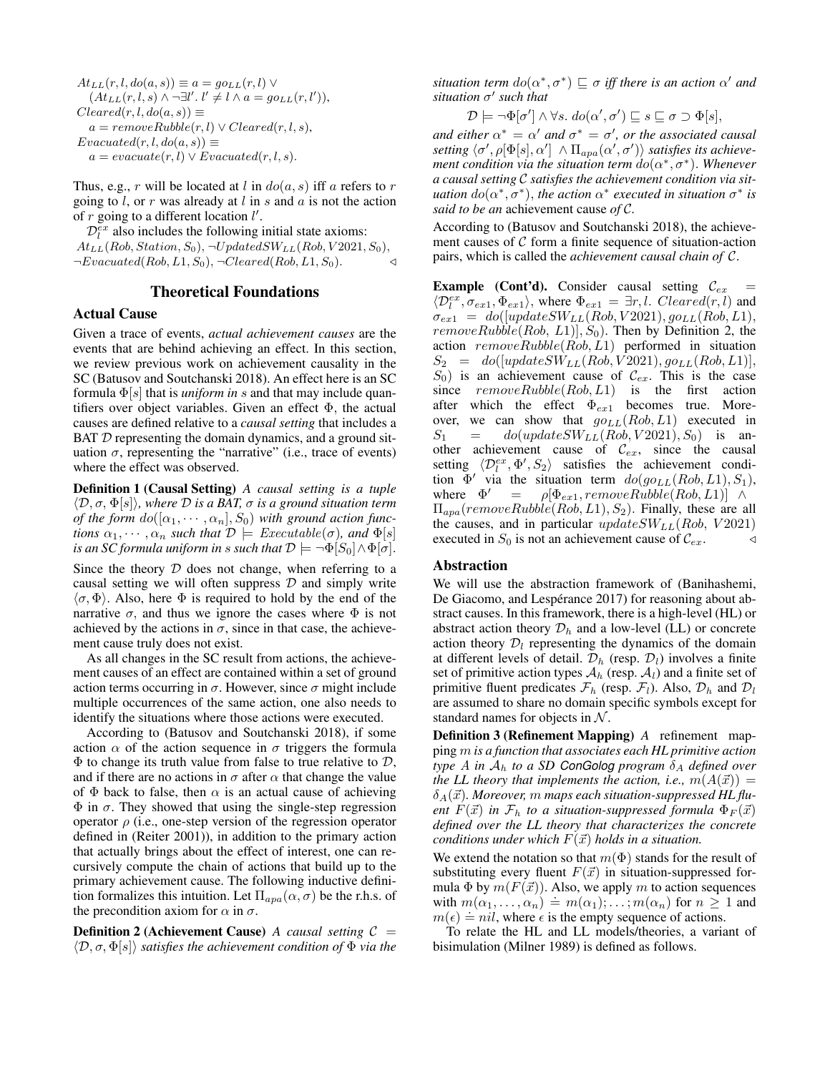$At_{LL}(r, l, do(a, s)) \equiv a = go_{LL}(r, l) \vee$  $(At_{LL}(r, l, s) \wedge \neg \exists l'. l' \neq l \wedge a = go_{LL}(r, l')),$  $Cleared(r, l, do(a, s)) \equiv$  $a = removeRule(r, l) \vee Cleared(r, l, s),$  $Evacuated(r, l, do(a, s)) \equiv$  $a = \text{evacuate}(r, l) \vee \text{Evacuated}(r, l, s).$ 

Thus, e.g., r will be located at l in  $do(a, s)$  iff a refers to r going to  $l$ , or  $r$  was already at  $l$  in  $s$  and  $a$  is not the action of  $r$  going to a different location  $l'$ .

 $\mathcal{D}_l^{ex}$  also includes the following initial state axioms:  $At_{LL}(Rob, Station, S_0), \neg UpdatedSW_{LL}(Rob, V2021, S_0),$  $\neg Evaluate d(Rob, L1, S_0), \neg Cleaned(Rob, L1, S_0).$ 

## Theoretical Foundations

#### Actual Cause

Given a trace of events, *actual achievement causes* are the events that are behind achieving an effect. In this section, we review previous work on achievement causality in the SC (Batusov and Soutchanski 2018). An effect here is an SC formula  $\Phi[s]$  that is *uniform in* s and that may include quantifiers over object variables. Given an effect Φ, the actual causes are defined relative to a *causal setting* that includes a BAT  $D$  representing the domain dynamics, and a ground situation  $\sigma$ , representing the "narrative" (i.e., trace of events) where the effect was observed.

Definition 1 (Causal Setting) *A causal setting is a tuple*  $\langle \mathcal{D}, \sigma, \Phi[s] \rangle$ *, where*  $\mathcal D$  *is a BAT,*  $\sigma$  *is a ground situation term of the form*  $do([\alpha_1, \cdots, \alpha_n], S_0)$  *with ground action functions*  $\alpha_1, \dots, \alpha_n$  *such that*  $\mathcal{D} \models \text{Executeable}(\sigma)$ *, and*  $\Phi[s]$ *is an SC formula uniform in s such that*  $\mathcal{D} \models \neg \Phi[S_0] \land \Phi[\sigma]$ .

Since the theory  $D$  does not change, when referring to a causal setting we will often suppress  $D$  and simply write  $\langle \sigma, \Phi \rangle$ . Also, here  $\Phi$  is required to hold by the end of the narrative  $\sigma$ , and thus we ignore the cases where  $\Phi$  is not achieved by the actions in  $\sigma$ , since in that case, the achievement cause truly does not exist.

As all changes in the SC result from actions, the achievement causes of an effect are contained within a set of ground action terms occurring in  $\sigma$ . However, since  $\sigma$  might include multiple occurrences of the same action, one also needs to identify the situations where those actions were executed.

According to (Batusov and Soutchanski 2018), if some action  $\alpha$  of the action sequence in  $\sigma$  triggers the formula  $\Phi$  to change its truth value from false to true relative to  $\mathcal{D}$ , and if there are no actions in  $\sigma$  after  $\alpha$  that change the value of  $\Phi$  back to false, then  $\alpha$  is an actual cause of achieving  $\Phi$  in  $\sigma$ . They showed that using the single-step regression operator  $\rho$  (i.e., one-step version of the regression operator defined in (Reiter 2001)), in addition to the primary action that actually brings about the effect of interest, one can recursively compute the chain of actions that build up to the primary achievement cause. The following inductive definition formalizes this intuition. Let  $\Pi_{apa}(\alpha, \sigma)$  be the r.h.s. of the precondition axiom for  $\alpha$  in  $\sigma$ .

**Definition 2 (Achievement Cause)** *A causal setting*  $C =$  $\langle \mathcal{D}, \sigma, \Phi[s] \rangle$  *satisfies the achievement condition of*  $\Phi$  *via the*  situation term  $do(\alpha^*, \sigma^*) \sqsubseteq \sigma$  iff there is an action  $\alpha'$  and situation σ' such that

$$
\mathcal{D} \models \neg \Phi[\sigma'] \land \forall s. \ do(\alpha', \sigma') \sqsubseteq s \sqsubseteq \sigma \supset \Phi[s],
$$

*and either*  $\alpha^* = \alpha'$  *and*  $\sigma^* = \sigma'$ *, or the associated causal* setting  $\langle \sigma', \rho[\Phi[s],\alpha']\, \wedge \Pi_{apa}(\alpha',\sigma')\rangle$  satisfies its achieve*ment condition via the situation term*  $do(α<sup>*</sup>, σ<sup>*</sup>)$ . *Whenever a causal setting* C *satisfies the achievement condition via situation*  $do(\alpha^*, \sigma^*)$ , *the action*  $\alpha^*$  *executed in situation*  $\sigma^*$  *is said to be an* achievement cause *of* C*.*

According to (Batusov and Soutchanski 2018), the achievement causes of  $C$  form a finite sequence of situation-action pairs, which is called the *achievement causal chain of* C.

**Example (Cont'd).** Consider causal setting  $C_{ex}$  $\langle \mathcal{D}_l^{ex}, \sigma_{ex1}, \Phi_{ex1} \rangle$ , where  $\Phi_{ex1} = \exists r, l$ . Cleared $(r, l)$  and  $\sigma_{ex1} = do([updateSW_{LL}(Rob, V2021), go_{LL}(Rob, L1)),$  $removeRubble(Rob, L1), S_0$ . Then by Definition 2, the action  $removeRubble(Rob, L1)$  performed in situation  $S_2 = do([updateSW_{LL}(Rob, V2021), go_{LL}(Rob, L1)],$  $S_0$ ) is an achievement cause of  $\mathcal{C}_{ex}$ . This is the case since  $removeRubble(Rob, L1)$  is the first action after which the effect  $\Phi_{ex1}$  becomes true. Moreover, we can show that  $go_{LL}(Rob, L1)$  executed in  $S_1 = do(updateSW_{LL}(Rob, V2021), S_0)$  is another achievement cause of  $C_{ex}$ , since the causal setting  $\langle \mathcal{D}_l^{ex}, \Phi', S_2 \rangle$  satisfies the achievement condition  $\Phi'$  via the situation term  $do(go_{LL}(Rob, L1), S_1)$ , where  $\Phi'$  $=$   $\rho[\Phi_{ex1}, removeRubble(Rob, L1)] \wedge$  $\Pi_{apa}(removeRubble(Rob, L1), S_2)$ . Finally, these are all the causes, and in particular  $updateSW_{LL}(Rob, V2021)$ executed in  $S_0$  is not an achievement cause of  $\mathcal{C}_{ex}$ .

#### Abstraction

We will use the abstraction framework of (Banihashemi, De Giacomo, and Lespérance 2017) for reasoning about abstract causes. In this framework, there is a high-level (HL) or abstract action theory  $\mathcal{D}_h$  and a low-level (LL) or concrete action theory  $\mathcal{D}_l$  representing the dynamics of the domain at different levels of detail.  $\mathcal{D}_h$  (resp.  $\mathcal{D}_l$ ) involves a finite set of primitive action types  $A_h$  (resp.  $A_l$ ) and a finite set of primitive fluent predicates  $\mathcal{F}_h$  (resp.  $\mathcal{F}_l$ ). Also,  $\mathcal{D}_h$  and  $\mathcal{D}_l$ are assumed to share no domain specific symbols except for standard names for objects in  $N$ .

Definition 3 (Refinement Mapping) *A* refinement mapping m *is a function that associates each HL primitive action type* A *in*  $A_h$  *to a SD ConGolog program*  $\delta_A$  *defined over the LL theory that implements the action, i.e.,*  $m(A(\vec{x})) =$  $\delta_A(\vec{x})$ . Moreover, m maps each situation-suppressed HL flu*ent*  $F(\vec{x})$  *in*  $\mathcal{F}_h$  *to a situation-suppressed formula*  $\Phi_F(\vec{x})$ *defined over the LL theory that characterizes the concrete conditions under which*  $F(\vec{x})$  *holds in a situation.* 

We extend the notation so that  $m(\Phi)$  stands for the result of substituting every fluent  $F(\vec{x})$  in situation-suppressed formula  $\Phi$  by  $m(F(\vec{x}))$ . Also, we apply m to action sequences with  $m(\alpha_1, ..., \alpha_n) \doteq m(\alpha_1); ...; m(\alpha_n)$  for  $n \ge 1$  and with  $m(\alpha_1, ..., \alpha_n) = m(\alpha_1), ..., m(\alpha_n)$  for  $n \ge$ <br> $m(\epsilon) = nil$ , where  $\epsilon$  is the empty sequence of actions.

To relate the HL and LL models/theories, a variant of bisimulation (Milner 1989) is defined as follows.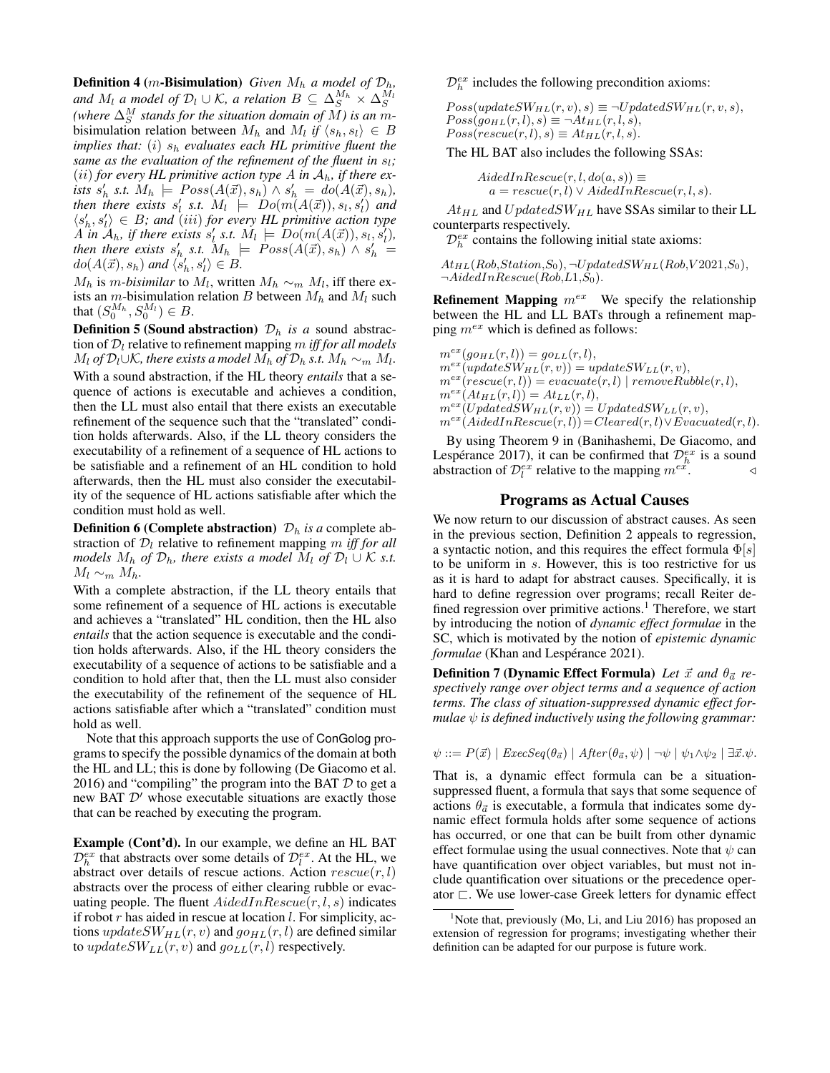**Definition 4** (*m*-Bisimulation) *Given*  $M_h$  *a model of*  $\mathcal{D}_h$ *,* and  $M_l$  *a model of*  $\mathcal{D}_l \cup \mathcal{K}$ , *a relation*  $B \subseteq \Delta_S^{M_h} \times \Delta_S^{M_l}$ *(where*  $\Delta_S^M$  stands for the situation domain of M) is an mbisimulation relation between  $M_h$  and  $M_l$  if  $\langle s_h, s_l \rangle \in B$ *implies that:* (i) s<sup>h</sup> *evaluates each HL primitive fluent the same as the evaluation of the refinement of the fluent in*  $s_l$ ; (*ii*) *for every HL primitive action type* A *in*  $A_h$ *, if there ex-* $\textit{lists } s'_h \textit{ s.t. } M_h \models Poss(A(\vec{x}), s_h) \land s'_h = do(A(\vec{x}), s_h),$ then there exists  $s'_l$  s.t.  $M_l$   $\models$   $Do(m(A(\vec{x})), s_l, s'_l)$  and  $\langle s'_h, s'_i \rangle \in B$ ; and (iii) for every HL primitive action type  $\{A \text{ in } A_h, \text{ if there exists } s'_l \text{ s.t. } M_l \models Do(m(A(\vec{x})), s_l, s'_l),$ *then there exists*  $s'_{h}$  *s.t.*  $M_{h}$   $\models$   $Poss(A(\vec{x}), s_{h}) \wedge s'_{h}$  =  $do(A(\vec{x}), s_h)$  and  $\langle s'_h, s'_l \rangle \in B$ .

 $M_h$  is *m-bisimilar* to  $M_l$ , written  $M_h \sim_m M_l$ , iff there exists an  $m$ -bisimulation relation B between  $M_h$  and  $M_l$  such that  $(S_0^{M_h}, S_0^{M_l}) \in B$ .

**Definition 5 (Sound abstraction)**  $\mathcal{D}_h$  *is a* sound abstraction of  $D_l$  relative to refinement mapping  $m$  *iff for all models*  $M_l$  *of*  $\mathcal{D}_l \cup \mathcal{K}$ , there exists a model  $M_h$  *of*  $\mathcal{D}_h$  *s.t.*  $M_h \sim_m M_l$ . With a sound abstraction, if the HL theory *entails* that a sequence of actions is executable and achieves a condition, then the LL must also entail that there exists an executable refinement of the sequence such that the "translated" condition holds afterwards. Also, if the LL theory considers the executability of a refinement of a sequence of HL actions to be satisfiable and a refinement of an HL condition to hold afterwards, then the HL must also consider the executability of the sequence of HL actions satisfiable after which the condition must hold as well.

**Definition 6 (Complete abstraction)**  $\mathcal{D}_h$  *is a* complete abstraction of  $\mathcal{D}_l$  relative to refinement mapping m *iff for all models*  $M_h$  *of*  $\mathcal{D}_h$ *, there exists a model*  $M_l$  *of*  $\mathcal{D}_l \cup \mathcal{K}$  *s.t.*  $M_l \sim_m M_h$ .

With a complete abstraction, if the LL theory entails that some refinement of a sequence of HL actions is executable and achieves a "translated" HL condition, then the HL also *entails* that the action sequence is executable and the condition holds afterwards. Also, if the HL theory considers the executability of a sequence of actions to be satisfiable and a condition to hold after that, then the LL must also consider the executability of the refinement of the sequence of HL actions satisfiable after which a "translated" condition must hold as well.

Note that this approach supports the use of ConGolog programs to specify the possible dynamics of the domain at both the HL and LL; this is done by following (De Giacomo et al. 2016) and "compiling" the program into the BAT  $D$  to get a new BAT  $\mathcal{D}'$  whose executable situations are exactly those that can be reached by executing the program.

Example (Cont'd). In our example, we define an HL BAT  $\mathcal{D}_h^{ex}$  that abstracts over some details of  $\mathcal{D}_l^{ex}$ . At the HL, we abstract over details of rescue actions. Action  $rescue(r, l)$ abstracts over the process of either clearing rubble or evacuating people. The fluent  $AidedInResource(r, l, s)$  indicates if robot  $r$  has aided in rescue at location  $l$ . For simplicity, actions  $updateSW_{HL}(r, v)$  and  $go_{HL}(r, l)$  are defined similar to  $updateSW_{LL}(r, v)$  and  $go_{LL}(r, l)$  respectively.

 $\mathcal{D}_h^{ex}$  includes the following precondition axioms:

 $Poss(updateSW_{HL}(r, v), s) \equiv \neg UpdatedSW_{HL}(r, v, s),$  $Poss(go_{HL}(r, l), s) \equiv \neg At_{HL}(r, l, s),$  $Poss(rescue(r, l), s) \equiv At_{HL}(r, l, s).$ 

The HL BAT also includes the following SSAs:

 $AidedInResource(r, l, do(a, s)) \equiv$  $a = rescue(r, l) \vee AidedInResource(r, l, s).$ 

 $At_{HL}$  and  $UpdatedSW_{HL}$  have SSAs similar to their LL counterparts respectively.

 $\mathcal{D}_h^{ex}$  contains the following initial state axioms:

 $At_{HL}(Rob, Station, S_0), \neg UpdatedSW_{HL}(Rob, V2021, S_0),$  $\neg AidedInRescue(Rob, L1, S<sub>0</sub>).$ 

**Refinement Mapping**  $m^{ex}$  We specify the relationship between the HL and LL BATs through a refinement mapping  $m^{ex}$  which is defined as follows:

 $m^{ex}(go_{HL}(r, l)) = go_{LL}(r, l),$  $m^{ex}(\overline{updateSW_{HL}(r, v)}) = updateSW_{LL}(r, v),$  $m^{ex}(rescue(r, l)) = evacuate(r, l) \mid removeRubble(r, l),$  $m^{ex}(At_{HL}(r, l)) = At_{LL}(r, l),$  $m^{ex}(UpdateSW_{HL}(r, v)) = UpdatedSW_{LL}(r, v),$  $m^{ex}(AidedInResource(r, l))=Cleared(r, l) \vee Evaluated(r, l).$ 

By using Theorem 9 in (Banihashemi, De Giacomo, and Lespérance 2017), it can be confirmed that  $\mathcal{D}_h^{ex}$  is a sound abstraction of  $\mathcal{D}_l^{ex}$  relative to the mapping  $m^{e\dot{x}}$ .  $\triangleleft$ 

## Programs as Actual Causes

We now return to our discussion of abstract causes. As seen in the previous section, Definition 2 appeals to regression, a syntactic notion, and this requires the effect formula  $\Phi[s]$ to be uniform in s. However, this is too restrictive for us as it is hard to adapt for abstract causes. Specifically, it is hard to define regression over programs; recall Reiter defined regression over primitive actions.<sup>1</sup> Therefore, we start by introducing the notion of *dynamic effect formulae* in the SC, which is motivated by the notion of *epistemic dynamic formulae* (Khan and Lespérance 2021).

**Definition 7 (Dynamic Effect Formula)** Let  $\vec{x}$  and  $\theta_{\vec{a}}$  re*spectively range over object terms and a sequence of action terms. The class of situation-suppressed dynamic effect formulae*  $\psi$  *is defined inductively using the following grammar:* 

 $\psi ::= P(\vec{x}) | E \text{z} \cos(\theta_{\vec{a}}) | After(\theta_{\vec{a}}, \psi) | \neg \psi | \psi_1 \wedge \psi_2 | \exists \vec{x}.\psi.$ 

That is, a dynamic effect formula can be a situationsuppressed fluent, a formula that says that some sequence of actions  $\theta_{\vec{a}}$  is executable, a formula that indicates some dynamic effect formula holds after some sequence of actions has occurred, or one that can be built from other dynamic effect formulae using the usual connectives. Note that  $\psi$  can have quantification over object variables, but must not include quantification over situations or the precedence operator  $\Box$ . We use lower-case Greek letters for dynamic effect

<sup>&</sup>lt;sup>1</sup>Note that, previously (Mo, Li, and Liu 2016) has proposed an extension of regression for programs; investigating whether their definition can be adapted for our purpose is future work.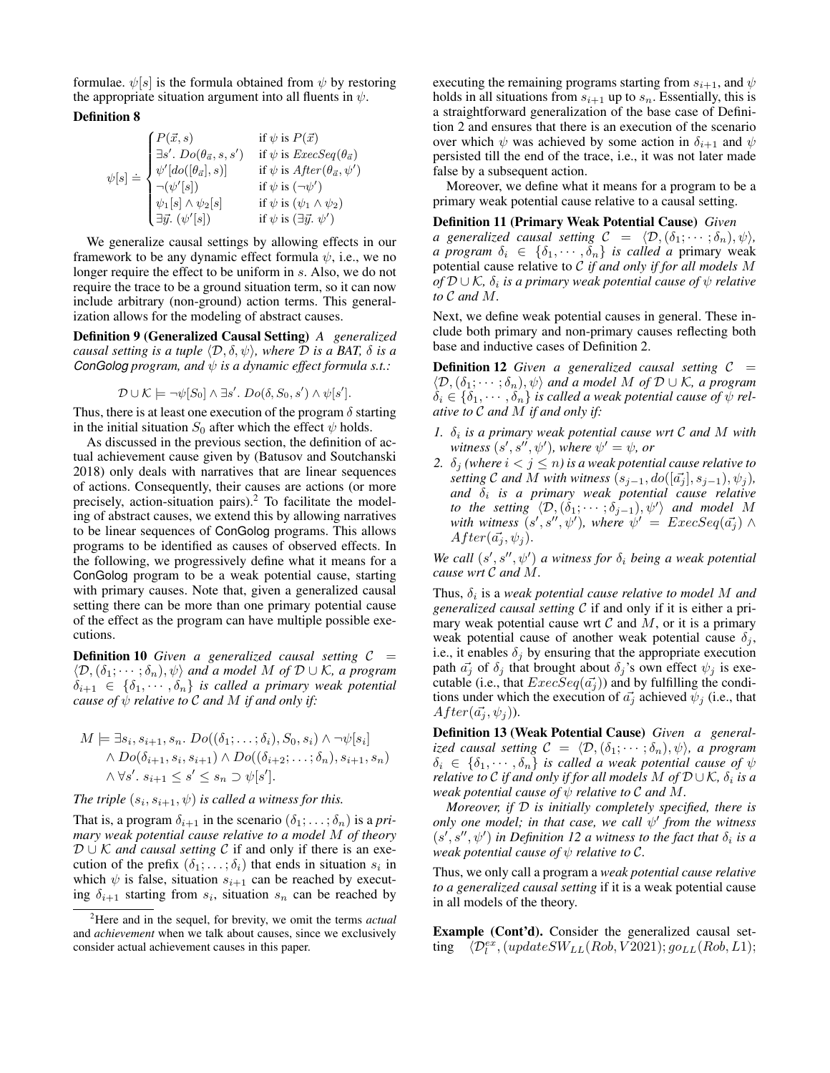formulae.  $\psi[s]$  is the formula obtained from  $\psi$  by restoring the appropriate situation argument into all fluents in  $\psi$ .

## Definition 8

$$
\psi[s] \doteq \begin{cases} P(\vec{x},s) & \text{if } \psi \text{ is } P(\vec{x}) \\ \exists s'.\ Do(\theta_{\vec{a}},s,s') & \text{if } \psi \text{ is } ExecSeq(\theta_{\vec{a}}) \\ \psi'[do([\theta_{\vec{a}}],s)] & \text{if } \psi \text{ is } After(\theta_{\vec{a}},\psi') \\ \neg(\psi'[s]) & \text{if } \psi \text{ is } (\neg \psi') \\ \psi_1[s] \land \psi_2[s] & \text{if } \psi \text{ is } (\psi_1 \land \psi_2) \\ \exists \vec{y}. (\psi'[s]) & \text{if } \psi \text{ is } (\exists \vec{y}. \psi') \end{cases}
$$

We generalize causal settings by allowing effects in our framework to be any dynamic effect formula  $\psi$ , i.e., we no longer require the effect to be uniform in s. Also, we do not require the trace to be a ground situation term, so it can now include arbitrary (non-ground) action terms. This generalization allows for the modeling of abstract causes.

Definition 9 (Generalized Causal Setting) *A generalized causal setting is a tuple*  $\langle \mathcal{D}, \delta, \psi \rangle$ *, where*  $\mathcal D$  *is a BAT,*  $\delta$  *is a ConGolog program, and* ψ *is a dynamic effect formula s.t.:*

$$
\mathcal{D} \cup \mathcal{K} \models \neg \psi[S_0] \land \exists s'.\ Do(\delta, S_0, s') \land \psi[s'].
$$

Thus, there is at least one execution of the program  $\delta$  starting in the initial situation  $S_0$  after which the effect  $\psi$  holds.

As discussed in the previous section, the definition of actual achievement cause given by (Batusov and Soutchanski 2018) only deals with narratives that are linear sequences of actions. Consequently, their causes are actions (or more precisely, action-situation pairs). $^{2}$  To facilitate the modeling of abstract causes, we extend this by allowing narratives to be linear sequences of ConGolog programs. This allows programs to be identified as causes of observed effects. In the following, we progressively define what it means for a ConGolog program to be a weak potential cause, starting with primary causes. Note that, given a generalized causal setting there can be more than one primary potential cause of the effect as the program can have multiple possible executions.

**Definition 10** Given a generalized causal setting  $C =$  $\langle \mathcal{D}, (\delta_1; \dots; \delta_n), \psi \rangle$  *and a model M of*  $\mathcal{D} \cup \mathcal{K}$ *, a program*  $\delta_{i+1} \in \{\delta_1, \cdots, \delta_n\}$  *is called a primary weak potential cause of*  $\psi$  *relative to*  $\mathcal C$  *and*  $M$  *if and only if:* 

$$
M \models \exists s_i, s_{i+1}, s_n. Do((\delta_1; \ldots; \delta_i), S_0, s_i) \land \neg \psi[s_i]
$$
  
 
$$
\land Do(\delta_{i+1}, s_i, s_{i+1}) \land Do((\delta_{i+2}; \ldots; \delta_n), s_{i+1}, s_n)
$$
  
 
$$
\land \forall s'. s_{i+1} \le s' \le s_n \supset \psi[s'].
$$

*The triple*  $(s_i, s_{i+1}, \psi)$  *is called a witness for this.* 

That is, a program  $\delta_{i+1}$  in the scenario  $(\delta_1; \ldots; \delta_n)$  is a *primary weak potential cause relative to a model* M *of theory*  $D \cup K$  *and causal setting* C if and only if there is an execution of the prefix  $(\delta_1; \ldots; \delta_i)$  that ends in situation  $s_i$  in which  $\psi$  is false, situation  $s_{i+1}$  can be reached by executing  $\delta_{i+1}$  starting from  $s_i$ , situation  $s_n$  can be reached by

executing the remaining programs starting from  $s_{i+1}$ , and  $\psi$ holds in all situations from  $s_{i+1}$  up to  $s_n$ . Essentially, this is a straightforward generalization of the base case of Definition 2 and ensures that there is an execution of the scenario over which  $\psi$  was achieved by some action in  $\delta_{i+1}$  and  $\psi$ persisted till the end of the trace, i.e., it was not later made false by a subsequent action.

Moreover, we define what it means for a program to be a primary weak potential cause relative to a causal setting.

Definition 11 (Primary Weak Potential Cause) *Given a* generalized causal setting  $C = \langle \mathcal{D}, (\delta_1; \cdots; \delta_n), \psi \rangle$ , *a program*  $\delta_i \in \{\delta_1, \cdots, \delta_n\}$  *is called a primary weak* potential cause relative to C *if and only if for all models* M  $of$   $\mathcal{D} \cup \mathcal{K}$ ,  $\delta_i$  is a primary weak potential cause of  $\psi$  relative *to* C *and* M*.*

Next, we define weak potential causes in general. These include both primary and non-primary causes reflecting both base and inductive cases of Definition 2.

**Definition 12** *Given a generalized causal setting*  $C =$  $\langle \mathcal{D}, (\delta_1; \dots; \delta_n), \psi \rangle$  and a model M of  $\mathcal{D} \cup \mathcal{K}$ , a program  $\delta_i \in \{\delta_1, \cdots, \delta_n\}$  *is called a weak potential cause of*  $\psi$  *relative to* C *and* M *if and only if:*

- 1.  $\delta_i$  is a primary weak potential cause wrt  $\mathcal C$  and  $M$  with  $witness (s', s'', \psi')$ , where  $\psi' = \psi$ , or
- 2.  $\delta_i$  *(where*  $i < j \leq n$ *)* is a weak potential cause relative to *setting*  $C$  *and*  $M$  *with witness*  $(s_{j-1}, do([a_j], s_{j-1}), \psi_j)$ *,*  $and$   $\delta_i$  is a primary weak potential cause relative *to the setting*  $\langle \mathcal{D}, (\delta_1; \cdots; \delta_{j-1}), \psi' \rangle$  *and model* M with witness  $(s', s'', \psi')$ , where  $\psi' = ExecSeq(\vec{a_j}) \wedge$  $After(\vec{a_i}, \psi_i).$

We call  $(s', s'', \psi')$  *a* witness for  $\delta_i$  being a weak potential *cause wrt* C *and* M*.*

Thus,  $\delta_i$  is a *weak potential cause relative to model M and generalized causal setting* C if and only if it is either a primary weak potential cause wrt  $C$  and  $M$ , or it is a primary weak potential cause of another weak potential cause  $\delta_i$ , i.e., it enables  $\delta_i$  by ensuring that the appropriate execution path  $\vec{a}_i$  of  $\delta_i$  that brought about  $\delta_i$ 's own effect  $\psi_i$  is executable (i.e., that  $ExecSeq(\vec{a_i})$ ) and by fulfilling the conditions under which the execution of  $\vec{a}_i$  achieved  $\psi_i$  (i.e., that  $After(\vec{a_j}, \psi_j)$ ).

Definition 13 (Weak Potential Cause) *Given a generalized causal setting*  $C = \langle \mathcal{D}, (\delta_1; \cdots; \delta_n), \psi \rangle$ *, a program*  $\delta_i \in \{\delta_1, \cdots, \delta_n\}$  *is called a weak potential cause of*  $\psi$ *relative to*  $\mathcal C$  *if and only if for all models*  $M$  *of*  $\mathcal D \cup \mathcal K$ ,  $\delta_i$  *is a weak potential cause of*  $\psi$  *relative to*  $\mathcal C$  *and*  $M$ *.* 

*Moreover, if* D *is initially completely specified, there is only one model; in that case, we call* ψ 0 *from the witness*  $(s', s'', \psi')$  *in Definition 12 a witness to the fact that*  $\delta_i$  *is a weak potential cause of*  $\psi$  *relative to C.* 

Thus, we only call a program a *weak potential cause relative to a generalized causal setting* if it is a weak potential cause in all models of the theory.

Example (Cont'd). Consider the generalized causal setting  $\overline{(\mathcal{D}_l^{ex},(updateSW_{LL}(Rob,V 2021);go_{LL}(Rob,L1))};$ 

<sup>2</sup>Here and in the sequel, for brevity, we omit the terms *actual* and *achievement* when we talk about causes, since we exclusively consider actual achievement causes in this paper.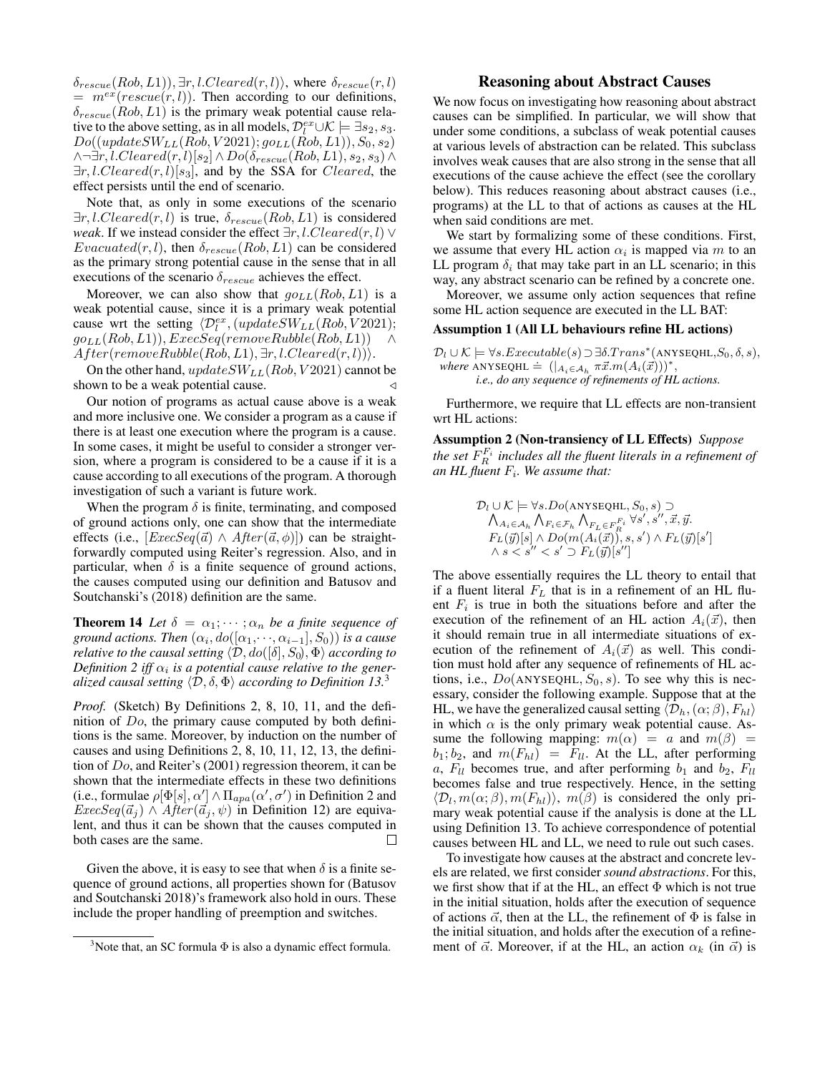$\delta_{rescue}(Rob, L1)), \exists r, l. Cleared(r, l)$ , where  $\delta_{rescue}(r, l)$  $= m^{ex}(rescue(r, l))$ . Then according to our definitions,  $\delta_{rescue}(Rob, L1)$  is the primary weak potential cause relative to the above setting, as in all models,  $\mathcal{D}_l^{ex} \cup \mathcal{K} \models \exists s_2, s_3$ .  $Do((updateSW_{LL}(Rob, V2021); go_{LL}(Rob, L1)), S_0, s_2)$  $\land \neg \exists r, l. Cleared(r, l)[s_2] \land Do(\delta_{rescue}(Rob, L1), s_2, s_3) \land$  $\exists r, l. Cleared(r, l)[s_3]$ , and by the SSA for *Cleared*, the effect persists until the end of scenario.

Note that, as only in some executions of the scenario  $\exists r, l. Cleared(r, l)$  is true,  $\delta_{rescue}(Rob, L1)$  is considered *weak*. If we instead consider the effect  $\exists r, l$ . *Cleared*(r, l)  $\vee$  $Evacuated(r, l)$ , then  $\delta_{rescue}(Rob, L1)$  can be considered as the primary strong potential cause in the sense that in all executions of the scenario  $\delta_{rescue}$  achieves the effect.

Moreover, we can also show that  $go_{LL}(Rob, L1)$  is a weak potential cause, since it is a primary weak potential cause wrt the setting  $\langle \mathcal{D}_l^{ex} , (updateSW_{LL}(Rob, V2021);$  $go_{LL}(Rob, L1)), ExecSeq(removeRubble(Rob, L1))$  $After(removeRubble(Rob, L1), \exists r, l. Cleared(r, l)).$ 

On the other hand,  $updateSW_{LL}(Rob, V2021)$  cannot be shown to be a weak potential cause.

Our notion of programs as actual cause above is a weak and more inclusive one. We consider a program as a cause if there is at least one execution where the program is a cause. In some cases, it might be useful to consider a stronger version, where a program is considered to be a cause if it is a cause according to all executions of the program. A thorough investigation of such a variant is future work.

When the program  $\delta$  is finite, terminating, and composed of ground actions only, one can show that the intermediate effects (i.e.,  $[ExecSeq(\vec{a}) \wedge After(\vec{a}, \phi)]$ ) can be straightforwardly computed using Reiter's regression. Also, and in particular, when  $\delta$  is a finite sequence of ground actions, the causes computed using our definition and Batusov and Soutchanski's (2018) definition are the same.

**Theorem 14** *Let*  $\delta = \alpha_1; \cdots; \alpha_n$  *be a finite sequence of ground actions. Then*  $(\alpha_i, do([\alpha_1, \cdots, \alpha_{i-1}], S_0))$  *is a cause relative to the causal setting*  $\langle \mathcal{D}, do([\delta], S_0), \Phi \rangle$  *according to Definition* 2 iff  $\alpha_i$  is a potential cause relative to the gener*alized causal setting*  $\langle \mathcal{D}, \delta, \Phi \rangle$  *according to Definition 13.*<sup>3</sup>

*Proof.* (Sketch) By Definitions 2, 8, 10, 11, and the definition of Do, the primary cause computed by both definitions is the same. Moreover, by induction on the number of causes and using Definitions 2, 8, 10, 11, 12, 13, the definition of Do, and Reiter's (2001) regression theorem, it can be shown that the intermediate effects in these two definitions (i.e., formulae  $\rho[\Phi[s], \alpha'] \wedge \Pi_{apa}(\alpha', \sigma')$  in Definition 2 and  $ExecSeq(\vec{a}_i) \wedge After(\vec{a}_i, \psi)$  in Definition 12) are equivalent, and thus it can be shown that the causes computed in both cases are the same.  $\Box$ 

Given the above, it is easy to see that when  $\delta$  is a finite sequence of ground actions, all properties shown for (Batusov and Soutchanski 2018)'s framework also hold in ours. These include the proper handling of preemption and switches.

## Reasoning about Abstract Causes

We now focus on investigating how reasoning about abstract causes can be simplified. In particular, we will show that under some conditions, a subclass of weak potential causes at various levels of abstraction can be related. This subclass involves weak causes that are also strong in the sense that all executions of the cause achieve the effect (see the corollary below). This reduces reasoning about abstract causes (i.e., programs) at the LL to that of actions as causes at the HL when said conditions are met.

We start by formalizing some of these conditions. First, we assume that every HL action  $\alpha_i$  is mapped via m to an LL program  $\delta_i$  that may take part in an LL scenario; in this way, any abstract scenario can be refined by a concrete one.

Moreover, we assume only action sequences that refine some HL action sequence are executed in the LL BAT:

#### Assumption 1 (All LL behaviours refine HL actions)

 $\mathcal{D}_l \cup \mathcal{K} \models \forall s. Executable(s) \supset \exists \delta. Trans^*(ANSEQHL, S_0, \delta, s),$ where ANYSEQHL =  $(|A_i \in A_h \pi \vec{x}.m(A_i(\vec{x})))^*$ , *i.e., do any sequence of refinements of HL actions.*

Furthermore, we require that LL effects are non-transient wrt HL actions:

Assumption 2 (Non-transiency of LL Effects) *Suppose* the set  $F_R^{F_i}$  includes all the fluent literals in a refinement of *an HL fluent* F<sup>i</sup> *. We assume that:*

$$
\mathcal{D}_{l} \cup \mathcal{K} \models \forall s. Do(\text{ANYSEQHL}, S_0, s) \supset
$$
  

$$
\bigwedge_{A_i \in \mathcal{A}_h} \bigwedge_{F_i \in \mathcal{F}_h} \bigwedge_{F_L \in F_R^{F_i}} \forall s', s'', \vec{x}, \vec{y}.
$$
  

$$
F_L(\vec{y})[s] \wedge Do(m(A_i(\vec{x})), s, s') \wedge F_L(\vec{y})[s'] \wedge s < s'' < s' \supset F_L(\vec{y})[s']
$$

The above essentially requires the LL theory to entail that if a fluent literal  $F<sub>L</sub>$  that is in a refinement of an HL fluent  $F_i$  is true in both the situations before and after the execution of the refinement of an HL action  $A_i(\vec{x})$ , then it should remain true in all intermediate situations of execution of the refinement of  $A_i(\vec{x})$  as well. This condition must hold after any sequence of refinements of HL actions, i.e.,  $Do(ANYSEQHL, S_0, s)$ . To see why this is necessary, consider the following example. Suppose that at the HL, we have the generalized causal setting  $\langle \mathcal{D}_h, (\alpha; \beta), F_{hl} \rangle$ in which  $\alpha$  is the only primary weak potential cause. Assume the following mapping:  $m(\alpha) = a$  and  $m(\beta) =$  $b_1; b_2$ , and  $m(F_{hl}) = F_{ll}$ . At the LL, after performing a,  $F_{ll}$  becomes true, and after performing  $b_1$  and  $b_2$ ,  $F_{ll}$ becomes false and true respectively. Hence, in the setting  $\langle \mathcal{D}_l, m(\alpha;\beta), m(F_{hl})\rangle$ ,  $m(\beta)$  is considered the only primary weak potential cause if the analysis is done at the LL using Definition 13. To achieve correspondence of potential causes between HL and LL, we need to rule out such cases.

To investigate how causes at the abstract and concrete levels are related, we first consider *sound abstractions*. For this, we first show that if at the HL, an effect  $\Phi$  which is not true in the initial situation, holds after the execution of sequence of actions  $\vec{\alpha}$ , then at the LL, the refinement of  $\Phi$  is false in the initial situation, and holds after the execution of a refinement of  $\vec{\alpha}$ . Moreover, if at the HL, an action  $\alpha_k$  (in  $\vec{\alpha}$ ) is

<sup>&</sup>lt;sup>3</sup>Note that, an SC formula  $\Phi$  is also a dynamic effect formula.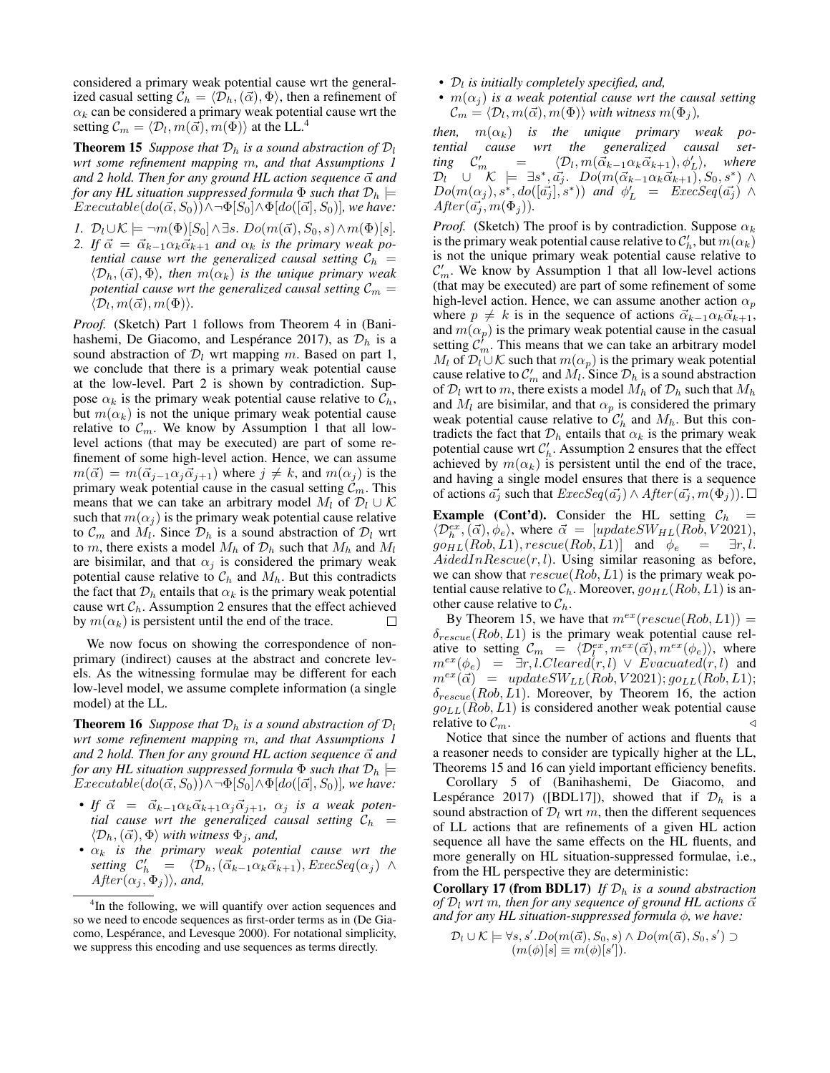considered a primary weak potential cause wrt the generalized casual setting  $C_h = \langle \mathcal{D}_h, (\vec{\alpha}), \Phi \rangle$ , then a refinement of  $\alpha_k$  can be considered a primary weak potential cause wrt the setting  $\mathcal{C}_m = \langle \mathcal{D}_l, m(\vec{\alpha)}, m(\Phi) \rangle$  at the LL.<sup>4</sup>

**Theorem 15** *Suppose that*  $D_h$  *is a sound abstraction of*  $D_l$ *wrt some refinement mapping* m*, and that Assumptions 1 and 2 hold. Then for any ground HL action sequence*  $\vec{\alpha}$  *and for any HL situation suppressed formula*  $\Phi$  *such that*  $\mathcal{D}_h$   $\models$  $Executeable(do(\vec{\alpha}, S_0)) \wedge \neg \Phi[S_0] \wedge \Phi[do([\vec{\alpha}], S_0)]$ *, we have:* 

- *1.*  $\mathcal{D}_l \cup \mathcal{K} \models \neg m(\Phi)[S_0] \land \exists s. \, Do(m(\vec{\alpha}), S_0, s) \land m(\Phi)[s].$
- 2. If  $\vec{\alpha} = \vec{\alpha}_{k-1} \alpha_k \vec{\alpha}_{k+1}$  *and*  $\alpha_k$  *is the primary weak potential cause wrt the generalized causal setting*  $C_h$  =  $\langle \mathcal{D}_h, (\vec{\alpha}), \Phi \rangle$ *, then*  $m(\alpha_k)$  *is the unique primary weak potential cause wrt the generalized causal setting*  $C_m =$  $\langle \mathcal{D}_l, m(\vec{\alpha}), m(\Phi) \rangle.$

*Proof.* (Sketch) Part 1 follows from Theorem 4 in (Banihashemi, De Giacomo, and Lespérance 2017), as  $\mathcal{D}_h$  is a sound abstraction of  $\mathcal{D}_l$  wrt mapping m. Based on part 1, we conclude that there is a primary weak potential cause at the low-level. Part 2 is shown by contradiction. Suppose  $\alpha_k$  is the primary weak potential cause relative to  $\mathcal{C}_h$ , but  $m(\alpha_k)$  is not the unique primary weak potential cause relative to  $\mathcal{C}_m$ . We know by Assumption 1 that all lowlevel actions (that may be executed) are part of some refinement of some high-level action. Hence, we can assume  $m(\vec{\alpha}) = m(\vec{\alpha}_{j-1}\alpha_j\vec{\alpha}_{j+1})$  where  $j \neq k$ , and  $m(\alpha_j)$  is the primary weak potential cause in the casual setting  $\mathcal{C}_m$ . This means that we can take an arbitrary model  $M_l$  of  $\mathcal{D}_l \cup \mathcal{K}$ such that  $m(\alpha_i)$  is the primary weak potential cause relative to  $\mathcal{C}_m$  and  $M_l$ . Since  $\mathcal{D}_h$  is a sound abstraction of  $\mathcal{D}_l$  wrt to m, there exists a model  $M_h$  of  $\mathcal{D}_h$  such that  $M_h$  and  $M_l$ are bisimilar, and that  $\alpha_i$  is considered the primary weak potential cause relative to  $C_h$  and  $M_h$ . But this contradicts the fact that  $\mathcal{D}_h$  entails that  $\alpha_k$  is the primary weak potential cause wrt  $C_h$ . Assumption 2 ensures that the effect achieved by  $m(\alpha_k)$  is persistent until the end of the trace.  $\Box$ 

We now focus on showing the correspondence of nonprimary (indirect) causes at the abstract and concrete levels. As the witnessing formulae may be different for each low-level model, we assume complete information (a single model) at the LL.

**Theorem 16** *Suppose that*  $\mathcal{D}_h$  *is a sound abstraction of*  $\mathcal{D}_l$ *wrt some refinement mapping* m*, and that Assumptions 1 and 2 hold. Then for any ground HL action sequence*  $\vec{\alpha}$  *and for any HL situation suppressed formula*  $\Phi$  *such that*  $\mathcal{D}_h$   $\models$  $Executeable(do(\vec{\alpha}, S_0)) \wedge \neg \Phi[S_0] \wedge \Phi[do([\vec{\alpha}], S_0)]$ *, we have:* 

- If  $\vec{\alpha} = \vec{\alpha}_{k-1} \alpha_k \vec{\alpha}_{k+1} \alpha_j \vec{\alpha}_{j+1}$ ,  $\alpha_j$  *is a weak potential cause wrt the generalized causal setting*  $\mathcal{C}_h$  =  $\langle \mathcal{D}_h, (\vec{\alpha}), \Phi \rangle$  with witness  $\Phi_i$ , and,
- $\bullet$   $\alpha_k$  *is the primary weak potential cause wrt the* setting  $C'_{h} = \langle \mathcal{D}_h, (\vec{\alpha}_{k-1} \alpha_k \vec{\alpha}_{k+1}), E \text{z} e c S e q(\alpha_j) \rangle$  $After(\alpha_j, \Phi_j)$ *i*, and,
- $D_l$  is initially completely specified, and,
- $m(\alpha_i)$  *is a weak potential cause wrt the causal setting*  $\mathcal{C}_m = \langle \mathcal{D}_l, m(\vec{\alpha}), m(\Phi) \rangle$  *with witness*  $m(\Phi_j)$ *,*

*then,*  $m(\alpha_k)$  *is the unique primary weak potential cause wrt the generalized causal set-* $\lim_{m \to \infty} C'_{m} = \langle \mathcal{D}_{l}, m(\vec{\alpha}_{k-1} \alpha_{k} \vec{\alpha}_{k+1}), \phi'_{L} \rangle$ , where  $\mathcal{D}_l$  U  $\mathcal{K} \models \exists s^*, \vec{a_j}$ .  $Do(m(\vec{\alpha}_{k-1}\alpha_k\vec{\alpha}_{k+1}), S_0, s^*)$   $\wedge$  $Do(m(\alpha_j), s^*, do([\vec{a_j}], s^*))$  and  $\phi'_{\mathcal{L}}$  =  $ExecSeq(\vec{a_j})$  ^  $After(\vec{a_i}, m(\Phi_i)).$ 

*Proof.* (Sketch) The proof is by contradiction. Suppose  $\alpha_k$ is the primary weak potential cause relative to  $\mathcal{C}'_h$ , but  $m(\alpha_k)$ is not the unique primary weak potential cause relative to  $\mathcal{C}'_m$ . We know by Assumption 1 that all low-level actions (that may be executed) are part of some refinement of some high-level action. Hence, we can assume another action  $\alpha_p$ where  $p \neq k$  is in the sequence of actions  $\vec{\alpha}_{k-1}\alpha_k\vec{\alpha}_{k+1}$ , and  $m(\alpha_p)$  is the primary weak potential cause in the casual setting  $\mathcal{C}_m^{\prime}$ . This means that we can take an arbitrary model  $M_l$  of  $\mathcal{D}_l \cup \mathcal{K}$  such that  $m(\alpha_p)$  is the primary weak potential cause relative to  $C'_m$  and  $\tilde{M}_l$ . Since  $\mathcal{D}_h$  is a sound abstraction of  $\mathcal{D}_l$  wrt to m, there exists a model  $M_h$  of  $\mathcal{D}_h$  such that  $M_h$ and  $M_l$  are bisimilar, and that  $\alpha_p$  is considered the primary weak potential cause relative to  $\mathcal{C}'_h$  and  $M_h$ . But this contradicts the fact that  $\mathcal{D}_h$  entails that  $\alpha_k$  is the primary weak potential cause wrt  $C'_{h}$ . Assumption 2 ensures that the effect achieved by  $m(\alpha_k)$  is persistent until the end of the trace, and having a single model ensures that there is a sequence of actions  $\vec{a_j}$  such that  $ExecSeq(\vec{a_j}) \wedge After(\vec{a_j}, m(\Phi_j))$ .  $\Box$ 

**Example (Cont'd).** Consider the HL setting  $C_h$  =  $\langle \mathcal{D}_{h}^{ex}, \vec{(\alpha)}, \phi_e \rangle$ , where  $\vec{\alpha} = [updateSW_{HL}(Rob, V2021),$  $g\ddot{\rho}_{HL}(Rob,L1), rescue(Rob,L1)]$  and  $\dot{\phi}_e = \exists r, l.$  $AidedInResource(r, l)$ . Using similar reasoning as before, we can show that  $rescue(Rob, L1)$  is the primary weak potential cause relative to  $C_h$ . Moreover,  $g \circ_{HL} (Rob, L1)$  is another cause relative to  $\mathcal{C}_h$ .

By Theorem 15, we have that  $m^{ex}(rescue(Rob, L1)) =$  $\delta_{rescue}(Rob, L1)$  is the primary weak potential cause relative to setting  $\mathcal{C}_m = \langle \mathcal{D}_l^{ex}, m^{ex}(\vec{\alpha}), m^{ex}(\phi_e) \rangle$ , where  $m^{ex}(\phi_e) = \exists r, l. Cleared(r, l) \lor Evacuated(r, l)$  and  $m^{ex}(\vec{\alpha}) = updateSW_{LL}(Rob, V2021); go_{LL}(Rob, L1);$  $\delta_{rescue}(Rob, L1)$ . Moreover, by Theorem 16, the action  $go_{LL}(Rob, L1)$  is considered another weak potential cause relative to  $\mathcal{C}_m$ .

Notice that since the number of actions and fluents that a reasoner needs to consider are typically higher at the LL, Theorems 15 and 16 can yield important efficiency benefits.

Corollary 5 of (Banihashemi, De Giacomo, and Lespérance 2017) ([BDL17]), showed that if  $\mathcal{D}_h$  is a sound abstraction of  $\mathcal{D}_l$  wrt m, then the different sequences of LL actions that are refinements of a given HL action sequence all have the same effects on the HL fluents, and more generally on HL situation-suppressed formulae, i.e., from the HL perspective they are deterministic:

**Corollary 17 (from BDL17)** *If*  $\mathcal{D}_h$  *is a sound abstraction of*  $\mathcal{D}_l$  *wrt* m, then for any sequence of ground HL actions  $\vec{\alpha}$ *and for any HL situation-suppressed formula* φ*, we have:*

$$
\mathcal{D}_l \cup \mathcal{K} \models \forall s, s'.Do(m(\vec{\alpha}), S_0, s) \land Do(m(\vec{\alpha}), S_0, s') \supset (m(\phi)[s] \equiv m(\phi)[s']).
$$

<sup>&</sup>lt;sup>4</sup>In the following, we will quantify over action sequences and so we need to encode sequences as first-order terms as in (De Giacomo, Lespérance, and Levesque 2000). For notational simplicity, we suppress this encoding and use sequences as terms directly.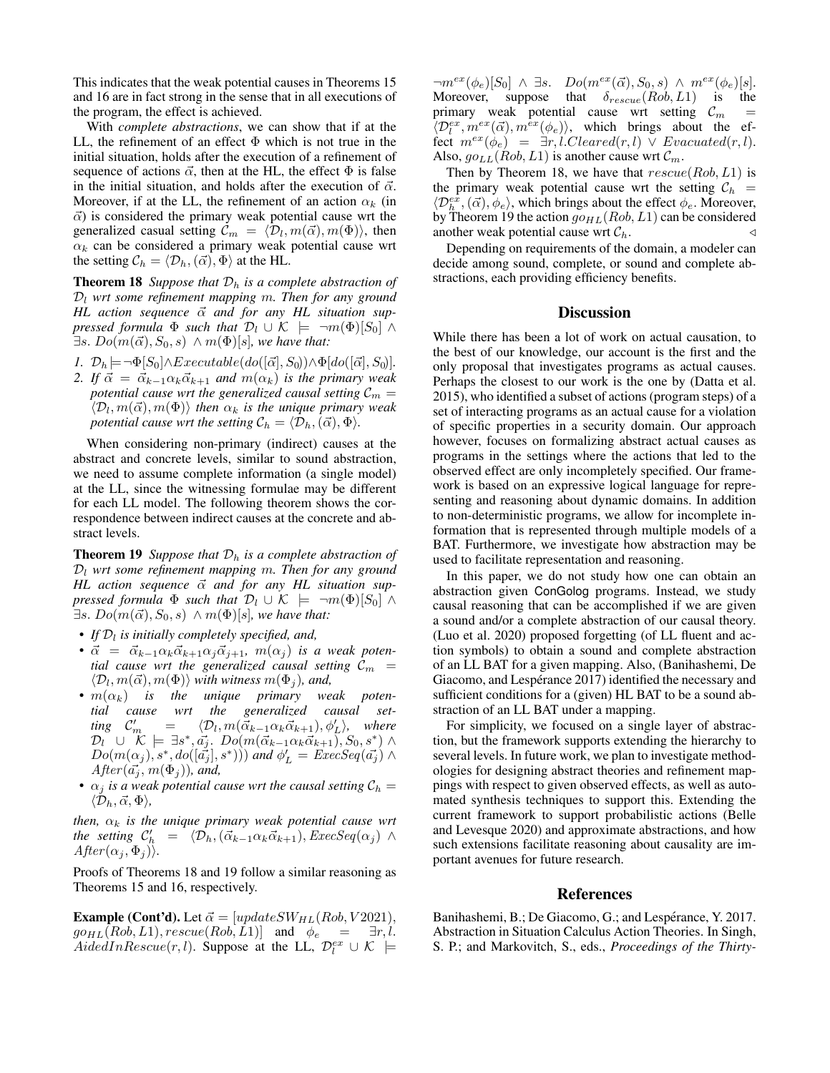This indicates that the weak potential causes in Theorems 15 and 16 are in fact strong in the sense that in all executions of the program, the effect is achieved.

With *complete abstractions*, we can show that if at the LL, the refinement of an effect  $\Phi$  which is not true in the initial situation, holds after the execution of a refinement of sequence of actions  $\vec{\alpha}$ , then at the HL, the effect  $\Phi$  is false in the initial situation, and holds after the execution of  $\vec{\alpha}$ . Moreover, if at the LL, the refinement of an action  $\alpha_k$  (in  $\vec{\alpha}$ ) is considered the primary weak potential cause wrt the generalized casual setting  $\mathcal{C}_m = \langle \mathcal{D}_l, m(\vec{\alpha}), m(\Phi) \rangle$ , then  $\alpha_k$  can be considered a primary weak potential cause wrt the setting  $C_h = \langle \mathcal{D}_h, (\vec{\alpha}), \Phi \rangle$  at the HL.

**Theorem 18** *Suppose that*  $D_h$  *is a complete abstraction of*  $\mathcal{D}_l$  wrt some refinement mapping m. Then for any ground HL action sequence  $\vec{\alpha}$  and for any HL situation sup*pressed formula*  $\Phi$  *such that*  $\mathcal{D}_l \cup \mathcal{K} \models \neg m(\Phi)[S_0] \land \Box$  $\exists s. Do(m(\vec{\alpha}), S_0, s) \wedge m(\Phi)[s]$ *, we have that:* 

- *1.*  $\mathcal{D}_h$  $\models \neg \Phi[S_0] \land Executable(do([\vec{\alpha}], S_0)) \land \Phi[do([\vec{\alpha}], S_0)].$
- *2. If*  $\vec{\alpha} = \vec{\alpha}_{k-1} \alpha_k \vec{\alpha}_{k+1}$  *and*  $m(\alpha_k)$  *is the primary weak potential cause wrt the generalized causal setting*  $C_m =$  $\langle \mathcal{D}_l, m(\vec{\alpha}), m(\Phi) \rangle$  then  $\alpha_k$  is the unique primary weak *potential cause wrt the setting*  $C_h = \langle \mathcal{D}_h, (\vec{\alpha}), \Phi \rangle$ *.*

When considering non-primary (indirect) causes at the abstract and concrete levels, similar to sound abstraction, we need to assume complete information (a single model) at the LL, since the witnessing formulae may be different for each LL model. The following theorem shows the correspondence between indirect causes at the concrete and abstract levels.

**Theorem 19** *Suppose that*  $D_h$  *is a complete abstraction of*  $\mathcal{D}_l$  wrt some refinement mapping m. Then for any ground *HL* action sequence  $\vec{\alpha}$  and for any *HL* situation sup*pressed formula*  $\Phi$  *such that*  $\mathcal{D}_l \cup \mathcal{K} \models \neg m(\Phi)[S_0] \wedge$  $\exists s. Do(m(\vec{\alpha}), S_0, s) \wedge m(\Phi)[s]$ *, we have that:* 

- If  $\mathcal{D}_l$  is initially completely specified, and,
- $\vec{\alpha} = \vec{\alpha}_{k-1} \alpha_k \vec{\alpha}_{k+1} \alpha_j \vec{\alpha}_{j+1}$ ,  $m(\alpha_j)$  *is a weak potential cause wrt the generalized causal setting*  $C_m$  =  $\langle \mathcal{D}_l, m(\vec{\alpha}), m(\Phi) \rangle$  with witness  $m(\Phi_j)$ , and,
- $\bullet$   $m(\alpha_k)$  is the unique primary weak poten*tial cause wrt the generalized causal set-* $\lim_{\mathcal{C}} C'_r$  $\mathcal{D}_m = \langle \mathcal{D}_l, m(\vec{\alpha}_{k-1}\alpha_k\vec{\alpha}_{k+1}), \phi'_{L} \rangle$ , where  $\mathcal{D}_l^{\top} \, \cup \, \stackrel{\sim}{\mathcal{K}} \models \, \exists s^*, \vec{a_j}.\,\, Do(m(\vec{\alpha}_{k-1}\alpha_k\vec{\alpha}_{k+1}), S_0, s^*) \, \wedge$  $Do(m(\alpha_j), s^*, do([\vec{a_j}], s^*))$  and  $\phi'_L = \text{ExecSeq}(\vec{a_j}) \wedge$  $After(\vec{a_j}, m(\Phi_j))$ *, and,*
- $\alpha_j$  *is a weak potential cause wrt the causal setting*  $C_h$  =  $\langle \mathcal{D}_h, \vec{\alpha}, \Phi \rangle,$

*then,*  $\alpha_k$  *is the unique primary weak potential cause wrt the setting*  $C'_{h} = (\overline{\mathcal{D}}_h,(\vec{\alpha}_{k-1}\alpha_k\vec{\alpha}_{k+1}),ExecSeq(\alpha_j) \wedge$  $After(\alpha_j, \Phi_j)$ *)*.

Proofs of Theorems 18 and 19 follow a similar reasoning as Theorems 15 and 16, respectively.

**Example (Cont'd).** Let  $\vec{\alpha} = [updateSW_{HL}(Rob, V2021),]$  $g \circ_{HL} (Rob, L1), rescue(Rob, L1)]$  and  $\phi_e = \exists r, l.$ AidedIn $Rescue(r, l)$ . Suppose at the LL,  $\mathcal{D}_l^{ex} \cup \mathcal{K}$   $\models$ 

 $\neg m^{ex}(\phi_e)[S_0] \wedge \exists s. \quad Do(m^{ex}(\vec{\alpha}), S_0, s) \wedge m^{ex}(\phi_e)[s].$ Moreover, suppose that  $\delta_{rescue}(Rob, L1)$  is the primary weak potential cause wrt setting  $C_m$  =  $\langle \mathcal{D}_l^{ex}, m^{ex}(\vec{\alpha}), m^{ex}(\phi_e) \rangle$ , which brings about the effect  $m^{ex}(\phi_e) = \exists r, l. Cleared(r, l) \vee Evacuated(r, l).$ Also,  $go_{LL}(Rob, L1)$  is another cause wrt  $\mathcal{C}_m$ .

Then by Theorem 18, we have that  $rescue(Rob, L1)$  is the primary weak potential cause wrt the setting  $C_h$  =  $\langle \mathcal{D}_h^{\hat{ex}},(\vec{\alpha}),\phi_e \rangle$ , which brings about the effect  $\phi_e$ . Moreover, by Theorem 19 the action  $g \circ_{HL} (Rob, L1)$  can be considered another weak potential cause wrt  $C_h$ .

Depending on requirements of the domain, a modeler can decide among sound, complete, or sound and complete abstractions, each providing efficiency benefits.

## **Discussion**

While there has been a lot of work on actual causation, to the best of our knowledge, our account is the first and the only proposal that investigates programs as actual causes. Perhaps the closest to our work is the one by (Datta et al. 2015), who identified a subset of actions (program steps) of a set of interacting programs as an actual cause for a violation of specific properties in a security domain. Our approach however, focuses on formalizing abstract actual causes as programs in the settings where the actions that led to the observed effect are only incompletely specified. Our framework is based on an expressive logical language for representing and reasoning about dynamic domains. In addition to non-deterministic programs, we allow for incomplete information that is represented through multiple models of a BAT. Furthermore, we investigate how abstraction may be used to facilitate representation and reasoning.

In this paper, we do not study how one can obtain an abstraction given ConGolog programs. Instead, we study causal reasoning that can be accomplished if we are given a sound and/or a complete abstraction of our causal theory. (Luo et al. 2020) proposed forgetting (of LL fluent and action symbols) to obtain a sound and complete abstraction of an LL BAT for a given mapping. Also, (Banihashemi, De Giacomo, and Lespérance 2017) identified the necessary and sufficient conditions for a (given) HL BAT to be a sound abstraction of an LL BAT under a mapping.

For simplicity, we focused on a single layer of abstraction, but the framework supports extending the hierarchy to several levels. In future work, we plan to investigate methodologies for designing abstract theories and refinement mappings with respect to given observed effects, as well as automated synthesis techniques to support this. Extending the current framework to support probabilistic actions (Belle and Levesque 2020) and approximate abstractions, and how such extensions facilitate reasoning about causality are important avenues for future research.

#### References

Banihashemi, B.; De Giacomo, G.; and Lespérance, Y. 2017. Abstraction in Situation Calculus Action Theories. In Singh, S. P.; and Markovitch, S., eds., *Proceedings of the Thirty-*